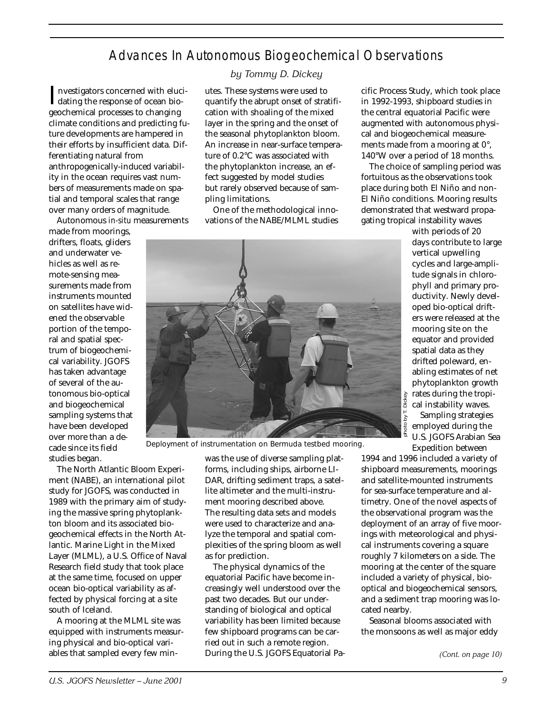## Advances In Autonomous Biogeochemical Observations

Investigators concerned with elucidating the response of ocean biodating the response of ocean biogeochemical processes to changing climate conditions and predicting future developments are hampered in their efforts by insufficient data. Differentiating natural from anthropogenically-induced variability in the ocean requires vast numbers of measurements made on spatial and temporal scales that range over many orders of magnitude.

Autonomous *in-situ* measurements

made from moorings, drifters, floats, gliders and underwater vehicles as well as remote-sensing measurements made from instruments mounted on satellites have widened the observable portion of the temporal and spatial spectrum of biogeochemical variability. JGOFS has taken advantage of several of the autonomous bio-optical and biogeochemical sampling systems that have been developed over more than a decade since its field studies began.

The North Atlantic Bloom Experiment (NABE), an international pilot study for JGOFS, was conducted in 1989 with the primary aim of studying the massive spring phytoplankton bloom and its associated biogeochemical effects in the North Atlantic. Marine Light in the Mixed Layer (MLML), a U.S. Office of Naval Research field study that took place at the same time, focused on upper ocean bio-optical variability as affected by physical forcing at a site south of Iceland.

A mooring at the MLML site was equipped with instruments measuring physical and bio-optical variables that sampled every few min-

## *by Tommy D. Dickey*

utes. These systems were used to quantify the abrupt onset of stratification with shoaling of the mixed layer in the spring and the onset of the seasonal phytoplankton bloom. An increase in near-surface temperature of 0.2°C was associated with the phytoplankton increase, an effect suggested by model studies but rarely observed because of sampling limitations.

One of the methodological innovations of the NABE/MLML studies

was the use of diverse sampling platforms, including ships, airborne LI-DAR, drifting sediment traps, a satellite altimeter and the multi-instrument mooring described above. The resulting data sets and models were used to characterize and analyze the temporal and spatial complexities of the spring bloom as well as for prediction.

The physical dynamics of the equatorial Pacific have become increasingly well understood over the past two decades. But our understanding of biological and optical variability has been limited because few shipboard programs can be carried out in such a remote region. During the U.S. JGOFS Equatorial Pacific Process Study, which took place in 1992-1993, shipboard studies in the central equatorial Pacific were augmented with autonomous physical and biogeochemical measurements made from a mooring at 0°, 140°W over a period of 18 months.

The choice of sampling period was fortuitous as the observations took place during both El Niño and non-El Niño conditions. Mooring results demonstrated that westward propagating tropical instability waves

> with periods of 20 days contribute to large vertical upwelling cycles and large-amplitude signals in chlorophyll and primary productivity. Newly developed bio-optical drifters were released at the mooring site on the equator and provided spatial data as they drifted poleward, enabling estimates of net phytoplankton growth Dickey rates during the tropical instability waves. Sampling strategies employed during the U.S. JGOFS Arabian Sea Expedition between

1994 and 1996 included a variety of shipboard measurements, moorings and satellite-mounted instruments for sea-surface temperature and altimetry. One of the novel aspects of the observational program was the deployment of an array of five moorings with meteorological and physical instruments covering a square roughly 7 kilometers on a side. The mooring at the center of the square included a variety of physical, biooptical and biogeochemical sensors, and a sediment trap mooring was located nearby.

photo by T. Dickey

Seasonal blooms associated with the monsoons as well as major eddy

*(Cont. on page 10)*